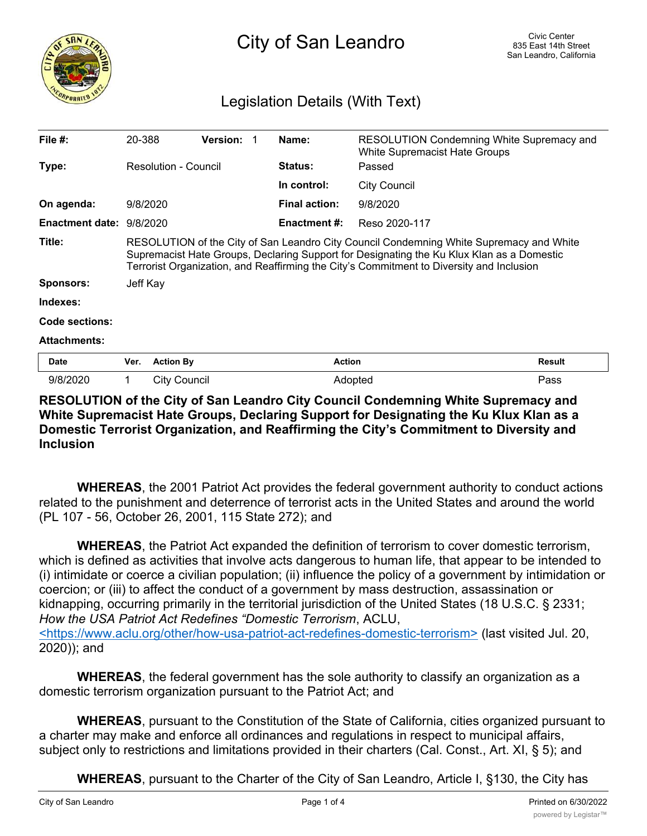

## Legislation Details (With Text)

| File $#$ :             | 20-388                                                                                                                                                                                                                                                                           |                     | <b>Version:</b> |  | Name:                | RESOLUTION Condemning White Supremacy and<br><b>White Supremacist Hate Groups</b> |               |
|------------------------|----------------------------------------------------------------------------------------------------------------------------------------------------------------------------------------------------------------------------------------------------------------------------------|---------------------|-----------------|--|----------------------|-----------------------------------------------------------------------------------|---------------|
| Type:                  | Resolution - Council                                                                                                                                                                                                                                                             |                     |                 |  | Status:              | Passed                                                                            |               |
|                        |                                                                                                                                                                                                                                                                                  |                     |                 |  | In control:          | <b>City Council</b>                                                               |               |
| On agenda:             | 9/8/2020                                                                                                                                                                                                                                                                         |                     |                 |  | <b>Final action:</b> | 9/8/2020                                                                          |               |
| <b>Enactment date:</b> | 9/8/2020                                                                                                                                                                                                                                                                         |                     |                 |  | Enactment #:         | Reso 2020-117                                                                     |               |
| Title:                 | RESOLUTION of the City of San Leandro City Council Condemning White Supremacy and White<br>Supremacist Hate Groups, Declaring Support for Designating the Ku Klux Klan as a Domestic<br>Terrorist Organization, and Reaffirming the City's Commitment to Diversity and Inclusion |                     |                 |  |                      |                                                                                   |               |
| Sponsors:              | Jeff Kay                                                                                                                                                                                                                                                                         |                     |                 |  |                      |                                                                                   |               |
| Indexes:               |                                                                                                                                                                                                                                                                                  |                     |                 |  |                      |                                                                                   |               |
| Code sections:         |                                                                                                                                                                                                                                                                                  |                     |                 |  |                      |                                                                                   |               |
| <b>Attachments:</b>    |                                                                                                                                                                                                                                                                                  |                     |                 |  |                      |                                                                                   |               |
| Date                   | Ver.                                                                                                                                                                                                                                                                             | <b>Action By</b>    |                 |  | <b>Action</b>        |                                                                                   | <b>Result</b> |
| 9/8/2020               | 1                                                                                                                                                                                                                                                                                | <b>City Council</b> |                 |  | Adopted              |                                                                                   | Pass          |

## **RESOLUTION of the City of San Leandro City Council Condemning White Supremacy and White Supremacist Hate Groups, Declaring Support for Designating the Ku Klux Klan as a Domestic Terrorist Organization, and Reaffirming the City's Commitment to Diversity and Inclusion**

**WHEREAS**, the 2001 Patriot Act provides the federal government authority to conduct actions related to the punishment and deterrence of terrorist acts in the United States and around the world (PL 107 - 56, October 26, 2001, 115 State 272); and

**WHEREAS**, the Patriot Act expanded the definition of terrorism to cover domestic terrorism, which is defined as activities that involve acts dangerous to human life, that appear to be intended to (i) intimidate or coerce a civilian population; (ii) influence the policy of a government by intimidation or coercion; or (iii) to affect the conduct of a government by mass destruction, assassination or kidnapping, occurring primarily in the territorial jurisdiction of the United States (18 U.S.C. § 2331; *How the USA Patriot Act Redefines "Domestic Terrorism*, ACLU, <https://www.aclu.org/other/how-usa-patriot-act-redefines-domestic-terrorism> (last visited Jul. 20, 2020)); and

**WHEREAS**, the federal government has the sole authority to classify an organization as a domestic terrorism organization pursuant to the Patriot Act; and

**WHEREAS**, pursuant to the Constitution of the State of California, cities organized pursuant to a charter may make and enforce all ordinances and regulations in respect to municipal affairs, subject only to restrictions and limitations provided in their charters (Cal. Const., Art. XI, § 5); and

**WHEREAS**, pursuant to the Charter of the City of San Leandro, Article I, §130, the City has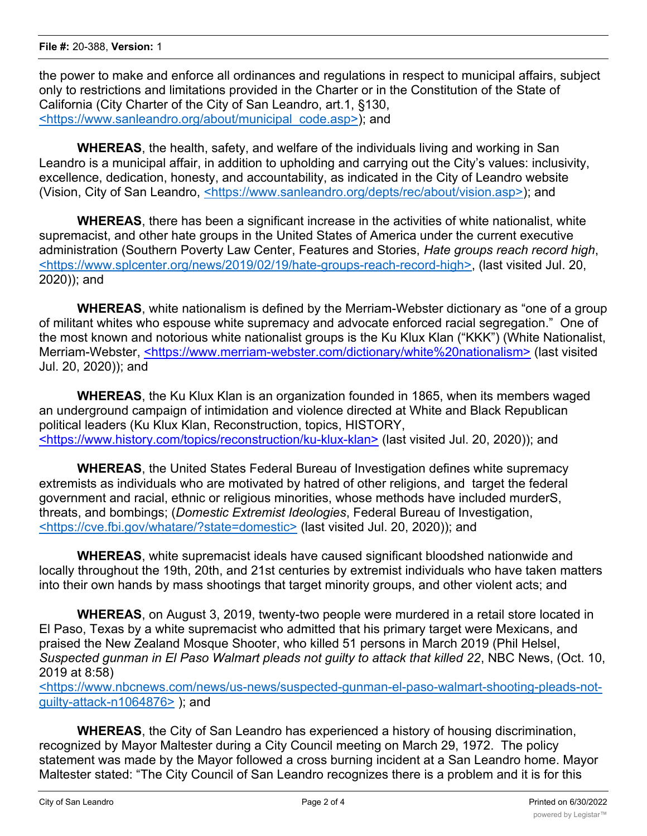the power to make and enforce all ordinances and regulations in respect to municipal affairs, subject only to restrictions and limitations provided in the Charter or in the Constitution of the State of California (City Charter of the City of San Leandro, art.1, §130, <https://www.sanleandro.org/about/municipal\_code.asp>); and

**WHEREAS**, the health, safety, and welfare of the individuals living and working in San Leandro is a municipal affair, in addition to upholding and carrying out the City's values: inclusivity, excellence, dedication, honesty, and accountability, as indicated in the City of Leandro website (Vision, City of San Leandro, <https://www.sanleandro.org/depts/rec/about/vision.asp>); and

**WHEREAS**, there has been a significant increase in the activities of white nationalist, white supremacist, and other hate groups in the United States of America under the current executive administration (Southern Poverty Law Center, Features and Stories, *Hate groups reach record high*, <https://www.splcenter.org/news/2019/02/19/hate-groups-reach-record-high>, (last visited Jul. 20, 2020)); and

**WHEREAS**, white nationalism is defined by the Merriam-Webster dictionary as "one of a group of militant whites who espouse white supremacy and advocate enforced racial segregation." One of the most known and notorious white nationalist groups is the Ku Klux Klan ("KKK") (White Nationalist, Merriam-Webster, <https://www.merriam-webster.com/dictionary/white%20nationalism> (last visited Jul. 20, 2020)); and

**WHEREAS**, the Ku Klux Klan is an organization founded in 1865, when its members waged an underground campaign of intimidation and violence directed at White and Black Republican political leaders (Ku Klux Klan, Reconstruction, topics, HISTORY, <https://www.history.com/topics/reconstruction/ku-klux-klan> (last visited Jul. 20, 2020)); and

**WHEREAS**, the United States Federal Bureau of Investigation defines white supremacy extremists as individuals who are motivated by hatred of other religions, and target the federal government and racial, ethnic or religious minorities, whose methods have included murderS, threats, and bombings; (*Domestic Extremist Ideologies*, Federal Bureau of Investigation, <https://cve.fbi.gov/whatare/?state=domestic> (last visited Jul. 20, 2020)); and

**WHEREAS**, white supremacist ideals have caused significant bloodshed nationwide and locally throughout the 19th, 20th, and 21st centuries by extremist individuals who have taken matters into their own hands by mass shootings that target minority groups, and other violent acts; and

**WHEREAS**, on August 3, 2019, twenty-two people were murdered in a retail store located in El Paso, Texas by a white supremacist who admitted that his primary target were Mexicans, and praised the New Zealand Mosque Shooter, who killed 51 persons in March 2019 (Phil Helsel, *Suspected gunman in El Paso Walmart pleads not guilty to attack that killed 22*, NBC News, (Oct. 10, 2019 at 8:58)

<https://www.nbcnews.com/news/us-news/suspected-gunman-el-paso-walmart-shooting-pleads-notguilty-attack-n1064876> ); and

**WHEREAS**, the City of San Leandro has experienced a history of housing discrimination, recognized by Mayor Maltester during a City Council meeting on March 29, 1972. The policy statement was made by the Mayor followed a cross burning incident at a San Leandro home. Mayor Maltester stated: "The City Council of San Leandro recognizes there is a problem and it is for this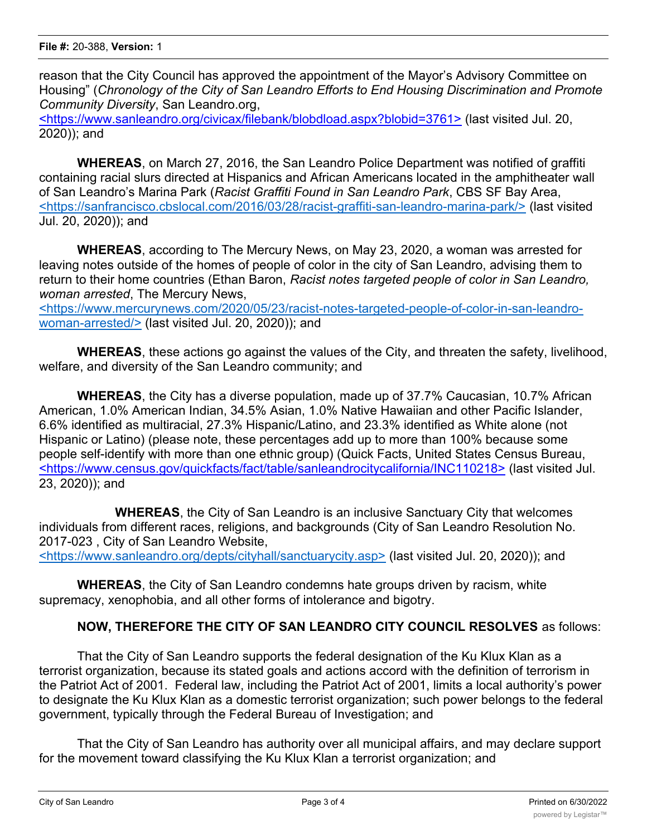reason that the City Council has approved the appointment of the Mayor's Advisory Committee on Housing" (*Chronology of the City of San Leandro Efforts to End Housing Discrimination and Promote Community Diversity*, San Leandro.org,

<https://www.sanleandro.org/civicax/filebank/blobdload.aspx?blobid=3761> (last visited Jul. 20, 2020)); and

**WHEREAS**, on March 27, 2016, the San Leandro Police Department was notified of graffiti containing racial slurs directed at Hispanics and African Americans located in the amphitheater wall of San Leandro's Marina Park (*Racist Graffiti Found in San Leandro Park*, CBS SF Bay Area, <https://sanfrancisco.cbslocal.com/2016/03/28/racist-graffiti-san-leandro-marina-park/> (last visited Jul. 20, 2020)); and

**WHEREAS**, according to The Mercury News, on May 23, 2020, a woman was arrested for leaving notes outside of the homes of people of color in the city of San Leandro, advising them to return to their home countries (Ethan Baron, *Racist notes targeted people of color in San Leandro, woman arrested*, The Mercury News,

<https://www.mercurynews.com/2020/05/23/racist-notes-targeted-people-of-color-in-san-leandrowoman-arrested/> (last visited Jul. 20, 2020)); and

**WHEREAS**, these actions go against the values of the City, and threaten the safety, livelihood, welfare, and diversity of the San Leandro community; and

**WHEREAS**, the City has a diverse population, made up of 37.7% Caucasian, 10.7% African American, 1.0% American Indian, 34.5% Asian, 1.0% Native Hawaiian and other Pacific Islander, 6.6% identified as multiracial, 27.3% Hispanic/Latino, and 23.3% identified as White alone (not Hispanic or Latino) (please note, these percentages add up to more than 100% because some people self-identify with more than one ethnic group) (Quick Facts, United States Census Bureau, <https://www.census.gov/quickfacts/fact/table/sanleandrocitycalifornia/INC110218> (last visited Jul. 23, 2020)); and

**WHEREAS**, the City of San Leandro is an inclusive Sanctuary City that welcomes individuals from different races, religions, and backgrounds (City of San Leandro Resolution No. 2017-023 , City of San Leandro Website,

<https://www.sanleandro.org/depts/cityhall/sanctuarycity.asp> (last visited Jul. 20, 2020)); and

**WHEREAS**, the City of San Leandro condemns hate groups driven by racism, white supremacy, xenophobia, and all other forms of intolerance and bigotry.

## **NOW, THEREFORE THE CITY OF SAN LEANDRO CITY COUNCIL RESOLVES** as follows:

That the City of San Leandro supports the federal designation of the Ku Klux Klan as a terrorist organization, because its stated goals and actions accord with the definition of terrorism in the Patriot Act of 2001. Federal law, including the Patriot Act of 2001, limits a local authority's power to designate the Ku Klux Klan as a domestic terrorist organization; such power belongs to the federal government, typically through the Federal Bureau of Investigation; and

That the City of San Leandro has authority over all municipal affairs, and may declare support for the movement toward classifying the Ku Klux Klan a terrorist organization; and